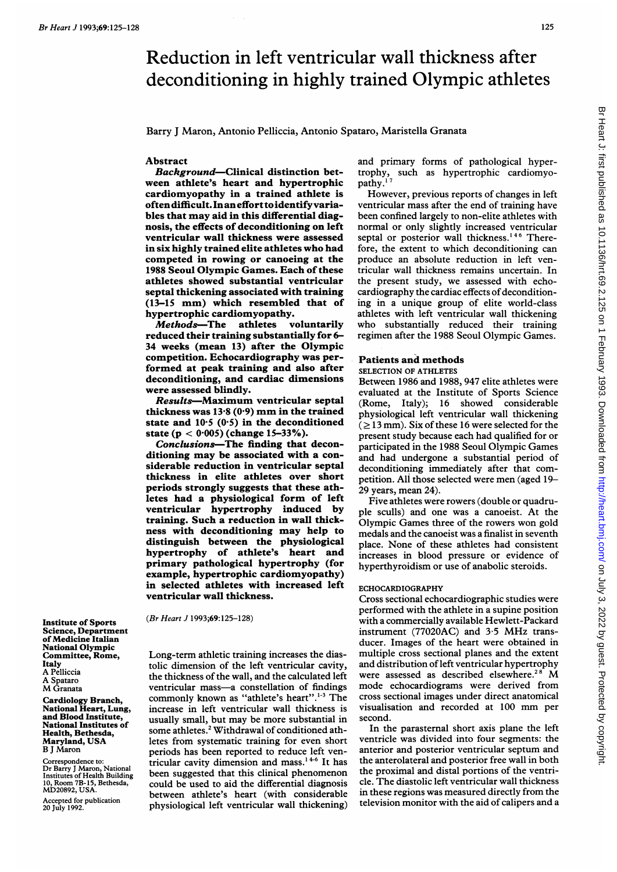# Reduction in left ventricular wall thickness after deconditioning in highly trained Olympic athletes

Barry J Maron, Antonio Pelliccia, Antonio Spataro, Maristella Granata

## Abstract

Background-Clinical distinction between athlete's heart and hypertrophic cardiomyopathy in a trained athlete is oftendifficult.Inanefforttoidentifyvariables that may aid in this differential diagnosis, the effects of deconditioning on left ventricular wall thickness were assessed in six highly trained elite athletes who had competed in rowing or canoeing at the 1988 Seoul Olympic Games. Each of these athletes showed substantial ventricular septal thickening associated with training (13-15 mm) which resembled that of hypertrophic cardiomyopathy.<br>Methods—The athletes voluntarily

**-The athletes** reduced their training substantially for 6- 34 weeks (mean 13) after the Olympic competition. Echocardiography was performed at peak training and also after deconditioning, and cardiac dimensions were assessed blindly.

Results-Maximum ventricular septal thickness was  $13.8(0.9)$  mm in the trained state and  $10.5$  (0.5) in the deconditioned state ( $p < 0.005$ ) (change 15-33%).

Conclusions-The finding that deconditioning may be associated with a considerable reduction in ventricular septal thickness in elite athletes over short periods strongly suggests that these athletes had a physiological form of left ventricular hypertrophy induced by training. Such a reduction in wall thickness with deconditioning may help to distinguish between the physiological hypertrophy of athlete's heart and primary pathological hypertrophy (for example, hypertrophic cardiomyopathy) in selected athletes with increased left ventricular wall thickness.

(Br Heart J 1993;69:125-128)

Long-term athletic training increases the diastolic dimension of the left ventricular cavity, the thickness of the wall, and the calculated left ventricular mass-a constellation of findings commonly known as "athlete's heart".<sup>1-3</sup> The increase in left ventricular wall thickness is usually small, but may be more substantial in some athletes.<sup>2</sup> Withdrawal of conditioned athletes from systematic training for even short periods has been reported to reduce left ventricular cavity dimension and mass.' 4-6 It has been suggested that this clinical phenomenon could be used to aid the differential diagnosis between athlete's heart (with considerable physiological left ventricular wall thickening) and primary forms of pathological hypertrophy, such as hypertrophic cardiomyopathy.<sup>1</sup>

However, previous reports of changes in left ventricular mass after the end of training have been confined largely to non-elite athletes with normal or only slightly increased ventricular septal or posterior wall thickness.<sup>146</sup> Therefore, the extent to which deconditioning can produce an absolute reduction in left ventricular wall thickness remains uncertain. In the present study, we assessed with echocardiography the cardiac effects of deconditioning in a unique group of elite world-class athletes with left ventricular wall thickening who substantially reduced their training regimen after the 1988 Seoul Olympic Games.

# Patients and methods

# SELECTION OF ATHLETES

Between 1986 and 1988, 947 elite athletes were evaluated at the Institute of Sports Science (Rome, Italy); 16 showed considerable physiological left ventricular wall thickening  $( \geq 13 \text{ mm})$ . Six of these 16 were selected for the present study because each had qualified for or participated in the 1988 Seoul Olympic Games and had undergone <sup>a</sup> substantial period of deconditioning immediately after that competition. Ali those selected were men (aged 19- 29 years, mean 24).

Five athletes were rowers (double or quadruple sculls) and one was a canoeist. At the Olympic Games three of the rowers won gold medals and the canoeist was a finalist in seventh place. None of these athletes had consistent increases in blood pressure or evidence of hyperthyroidism or use of anabolic steroids.

# ECHOCARDIOGRAPHY

Cross sectional echocardiographic studies were performed with the athlete in a supine position with a commercially available Hewlett-Packard instrument (77020AC) and 3-5 MHz transducer. Images of the heart were obtained in multiple cross sectional planes and the extent and distribution of left ventricular hypertrophy were assessed as described elsewhere.<sup>28</sup> M mode echocardiograms were derived from cross sectional images under direct anatomical visualisation and recorded at <sup>100</sup> mm per second.

In the parasternal short axis plane the left ventricle was divided into four segments: the anterior and posterior ventricular septum and the anterolateral and posterior free wall in both the proximal and distal portions of the ventricle. The diastolic left ventricular wall thickness in these regions was measured directly from the television monitor with the aid of calipers and a

Institute of Sports Science, Department of Medicine Italian National Olympic Committee, Rome, Italy A Pelliccia A Spataro M Granata

Cardiology Branch, National Heart, Lung, and Blood Institute, National Institutes of Health, Bethesda, Maryland, USA B <sup>J</sup> Maron

Correspondence to: Dr Barry <sup>J</sup> Maron, National Institutes of Health Building 10, Room 7B-15, Bethesda, MD20892, USA.

Accepted for publication 20 July 1992.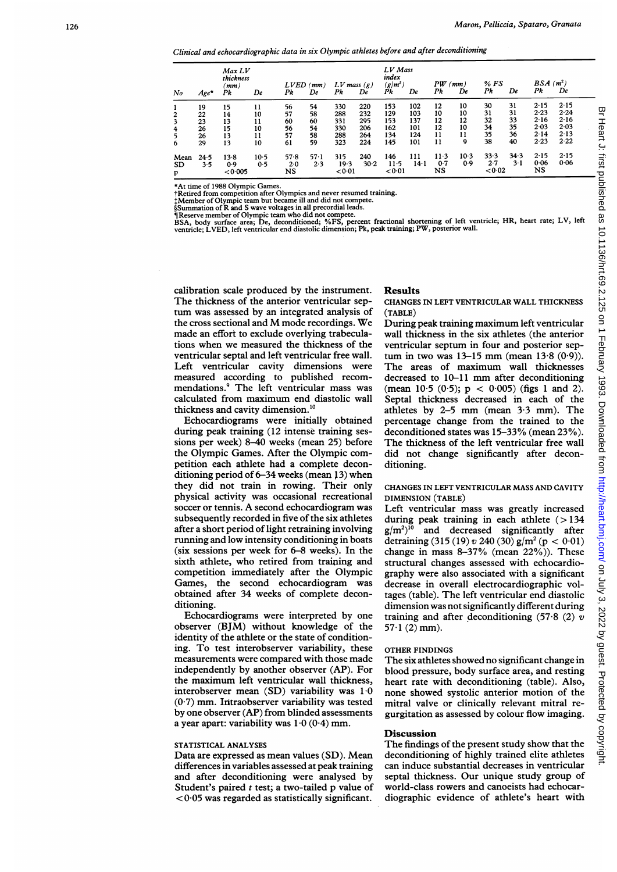Clinical and echocardiographic data in six Olympic athletes before and after deconditioning

| No                     | $Age*$                           | Max LV<br>thickness<br>(mm)<br>Pk | De                               | $LVED$ ( $mm$ )<br>Pk            | De                               | $LV$ mass $(g)$<br>Pk                  | De                                     | LV Mass<br>index<br>$(g/m^2)$<br>Pk    | De                                     | PW<br>Pk                         | (mm)<br>De                      | % FS<br>Pk                       | De                               | $BSA(m^2)$<br>Pk                             | De                                           |  |
|------------------------|----------------------------------|-----------------------------------|----------------------------------|----------------------------------|----------------------------------|----------------------------------------|----------------------------------------|----------------------------------------|----------------------------------------|----------------------------------|---------------------------------|----------------------------------|----------------------------------|----------------------------------------------|----------------------------------------------|--|
| 2<br>3<br>4<br>5<br>6  | 19<br>22<br>23<br>26<br>26<br>29 | 15<br>14<br>13<br>15<br>13<br>13  | 11<br>10<br>11<br>10<br>11<br>10 | 56<br>57<br>60<br>56<br>57<br>61 | 54<br>58<br>60<br>54<br>58<br>59 | 330<br>288<br>331<br>330<br>288<br>323 | 220<br>232<br>295<br>206<br>264<br>224 | 153<br>129<br>153<br>162<br>134<br>145 | 102<br>103<br>137<br>101<br>124<br>101 | 12<br>10<br>12<br>12<br>11<br>11 | 10<br>10<br>12<br>10<br>11<br>9 | 30<br>31<br>32<br>34<br>35<br>38 | 31<br>31<br>33<br>35<br>36<br>40 | 2.15<br>2.23<br>2.16<br>2.03<br>2.14<br>2.23 | 2.15<br>2.24<br>2.16<br>2.03<br>2.13<br>2.22 |  |
| Mean<br><b>SD</b><br>p | 24.5<br>3.5                      | 138<br>0.9<br>< 0.005             | $10-5$<br>0.5                    | 57.8<br>2.0<br>NS                | $57-1$<br>2.3                    | 315<br>19.3<br>< 0.01                  | 240<br>30.2                            | 146<br>$11-5$<br>< 0.01                | 111<br>$14-1$                          | $11-3$<br>0.7<br>NS              | 10.3<br>0.9                     | 33.3<br>2.7<br>< 0.02            | 34.3<br>$3-1$                    | 2.15<br>0.06<br>NS                           | 2.15<br>0.06                                 |  |

\*At time of 1988 Olympic Games.<br>†Retired from competition after Olympics and never resumed training.<br>‡Member of Olympic team but became ill and did not compete.<br>§Summation of R and S wave voltages in all precordial leads.

¶Reserve member of Olympic team who did not compete.<br>BSA, body surface area; De, deconditioned; %FS, percent fractional shortening of left ventricle; HR, heart rate; LV, left<br>ventricle; LVED, left ventricular end diastolic

calibration scale produced by the instrument. The thickness of the anterior ventricular septum was assessed by an integrated analysis of the cross sectional and Mmode recordings. We made an effort to exclude overlying trabeculations when we measured the thickness of the ventricular septal and left ventricular free wall. Left ventricular cavity dimensions were measured according to published recommendations.9 The left ventricular mass was calculated from maximum end diastolic wall thickness and cavity dimension.'0

Echocardiograms were initially obtained during peak training (12 intense training sessions per week) 8-40 weeks (mean 25) before the Olympic Games. After the Olympic competition each athlete had a complete deconditioning period of 6-34 weeks (mean 13) when they did not train in rowing. Their only physical activity was occasional recreational soccer or tennis. A second echocardiogram was subsequently recorded in five of the six athletes after a short period of light retraining involving running and low intensity conditioning in boats (six sessions per week for 6-8 weeks). In the sixth athlete, who retired from training and competition immediately after the Olympic Games, the second echocardiogram was obtained after 34 weeks of complete deconditioning.

Echocardiograms were interpreted by one observer (BJM) without knowledge of the identity of the athlete or the state of conditioning. To test interobserver variability, these measurements were compared with those made independently by another observer (AP). For the maximum left ventricular wall thickness, interobserver mean (SD) variability was 1 0  $(0.7)$  mm. Intraobserver variability was tested by one observer (AP) from blinded assessments a year apart: variability was  $1.0 (0.4)$  mm.

## STATISTICAL ANALYSES

Data are expressed as mean values (SD). Mean differences in variables assessed at peak training and after deconditioning were analysed by Student's paired t test; a two-tailed p value of < 0 05 was regarded as statistically significant.

#### Results

#### CHANGES IN LEFT VENTRICULAR WALL THICKNESS (TABLE)

During peak training maximum left ventricular wall thickness in the six athletes (the anterior ventricular septum in four and posterior septum in two was  $13-15$  mm (mean  $13.8$  (0.9)). The areas of maximum wall thicknesses decreased to 10-11 mm after deconditioning  $(\text{mean } 10.5 \ (0.5); \ p < 0.005) \ (\text{figs } 1 \text{ and } 2).$ Septal thickness decreased in each of the athletes by 2-5 mm (mean 3-3 mm). The percentage change from the trained to the deconditioned states was 15-33% (mean 23%). The thickness of the left ventricular free wall did not change significantly after deconditioning.

# CHANGES IN LEFT VENTRICULAR MASS AND CAVITY DIMENSION (TABLE)

Left ventricular mass was greatly increased during peak training in each athlete  $(>134)$ <br>g/m<sup>2</sup>)<sup>10</sup> and decreased significantly after and decreased significantly after detraining (315 (19) v 240 (30)  $g/m^2$  (p < 0.01) change in mass  $8-37\%$  (mean  $22\%)$ ). These structural changes assessed with echocardiography were also associated with a significant decrease in overall electrocardiographic voltages (table). The left ventricular end diastolic dimension was not significantly different during training and after deconditioning  $(57.8 \t(2) v)$  $57·1$  (2) mm).

#### OTHER FINDINGS

The six athletes showed no significant change in blood pressure, body surface area, and resting heart rate with deconditioning (table). Also, none showed systolic anterior motion of the mitral valve or clinically relevant mitral regurgitation as assessed by colour flow imaging.

## Discussion

The findings of the present study show that the deconditioning of highly trained elite athletes can induce substantial decreases in ventricular septal thickness. Our unique study group of world-class rowers and canoeists had echocardiographic evidence of athlete's heart with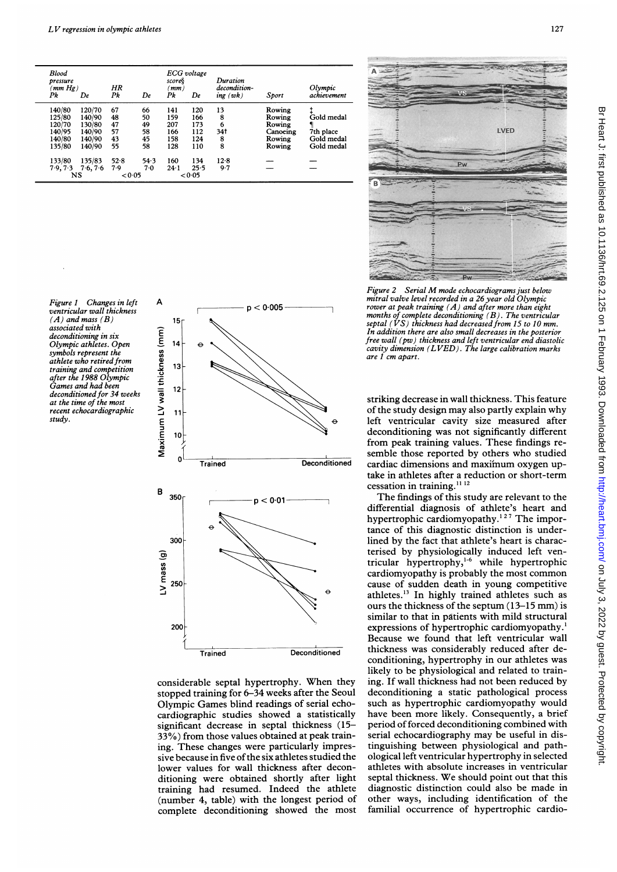| <b>Blood</b><br>pressure<br>'mm Hg)<br>Pk | De       | HR<br>Pk | De     | score§<br>mm)<br>Pk | ECG voltage<br>De | Duration<br>decondition-<br>ing(wk) | Sport    | Olympic<br>achievement |
|-------------------------------------------|----------|----------|--------|---------------------|-------------------|-------------------------------------|----------|------------------------|
| 140/80                                    | 120/70   | 67       | 66     | 141                 | 120               | 13                                  | Rowing   |                        |
| 125/80                                    | 140/90   | 48       | 50     | 159                 | 166               | 8                                   | Rowing   | Gold medal             |
| 120/70                                    | 130/80   | 47       | 49     | 207                 | 173               | 6                                   | Rowing   |                        |
| 140/95                                    | 140/90   | 57       | 58     | 166                 | 112               | 34 t                                | Canoeing | 7th place              |
| 140/80                                    | 140/90   | 43       | 45     | 158                 | 124               | 8                                   | Rowing   | Gold medal             |
| 135/80                                    | 140/90   | 55       | 58     | 128                 | 110               | 8                                   | Rowing   | Gold medal             |
| 133/80                                    | 135/83   | 52.8     | 54.3   | 160                 | 134               | 12.8                                |          |                        |
| 7.9, 7.3                                  | 7.6, 7.6 | 7.9      | 7.0    | $24 - 1$            | 25.5              | 9.7                                 |          |                        |
|                                           | NS       |          | < 0.05 |                     | < 0.05            |                                     |          |                        |

Figure <sup>1</sup> Changes in left ventricular wall thickness  $(A)$  and mass  $(B)$ associated with deconditioning in six Olympic athletes. Open symbols represent the athlete who retired from training and competition after the 1988 Olympic Games and had been deconditioned for 34 weeks at the time of the most recent echocardiographic study.







Figure <sup>2</sup> Serial M mode echocardiograms just below mitral valve level recorded in a 26 year old Olympic rower at peak training  $(A)$  and after more than eight months of complete deconditioning (B). The ventricular septal (VS) thickness had decreased from 15 to <sup>1</sup>0 mm. In addition there are also small decreases in the posterior free wall (pw) thickness and left ventricular end diastolic cavity dimension ( $LVED$ ). The large calibration marks are 1 cm apart.

striking decrease in wall thickness. This feature of the study design may also partly explain why left ventricular cavity size measured after deconditioning was not significantly different from peak training values. These findings re-  $\frac{1}{\text{reconditioned}}$  semble those reported by others who studied cardiac dimensions and maximum oxygen uptake in athletes after a reduction or short-term cessation in training. $^{11}$ <sup>12</sup>

The findings of this study are relevant to the differential diagnosis of athlete's heart and hypertrophic cardiomyopathy.<sup>127</sup> The importance of this diagnostic distinction is underlined by the fact that athlete's heart is characterised by physiologically induced left ventricular hypertrophy,1-6 while hypertrophic cardiomyopathy is probably the most common cause of sudden death in young competitive athletes.<sup>13</sup> In highly trained athletes such as ours the thickness of the septum (13-15 mm) is similar to that in patients with mild structural expressions of hypertrophic cardiomyopathy.<sup>1</sup> Because we found that left ventricular wall Deconditioned thickness was considerably reduced after deconditioning, hypertrophy in our athletes was likely to be physiological and related to training. If wall thickness had not been reduced by deconditioning a static pathological process such as hypertrophic cardiomyopathy would have been more likely. Consequently, a brief period of forced deconditioning combined with serial echocardiography may be useful in distinguishing between physiological and pathological left ventricular hypertrophy in selected athletes with absolute increases in ventricular septal thickness. We should point out that this diagnostic distinction could also be made in other ways, including identification of the familial occurrence of hypertrophic cardio-